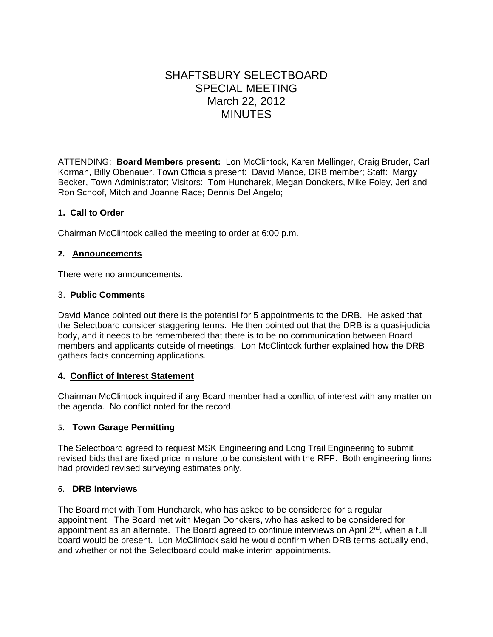# SHAFTSBURY SELECTBOARD SPECIAL MEETING March 22, 2012 MINUTES

ATTENDING: **Board Members present:** Lon McClintock, Karen Mellinger, Craig Bruder, Carl Korman, Billy Obenauer. Town Officials present:David Mance, DRB member; Staff: Margy Becker, Town Administrator; Visitors: Tom Huncharek, Megan Donckers, Mike Foley, Jeri and Ron Schoof, Mitch and Joanne Race; Dennis Del Angelo;

#### **1. Call to Order**

Chairman McClintock called the meeting to order at 6:00 p.m.

#### **2. Announcements**

There were no announcements.

#### 3. **Public Comments**

David Mance pointed out there is the potential for 5 appointments to the DRB. He asked that the Selectboard consider staggering terms. He then pointed out that the DRB is a quasi-judicial body, and it needs to be remembered that there is to be no communication between Board members and applicants outside of meetings. Lon McClintock further explained how the DRB gathers facts concerning applications.

## **4. Conflict of Interest Statement**

Chairman McClintock inquired if any Board member had a conflict of interest with any matter on the agenda. No conflict noted for the record.

## 5. **Town Garage Permitting**

The Selectboard agreed to request MSK Engineering and Long Trail Engineering to submit revised bids that are fixed price in nature to be consistent with the RFP. Both engineering firms had provided revised surveying estimates only.

#### 6. **DRB Interviews**

The Board met with Tom Huncharek, who has asked to be considered for a regular appointment. The Board met with Megan Donckers, who has asked to be considered for appointment as an alternate. The Board agreed to continue interviews on April  $2<sup>nd</sup>$ , when a full board would be present. Lon McClintock said he would confirm when DRB terms actually end, and whether or not the Selectboard could make interim appointments.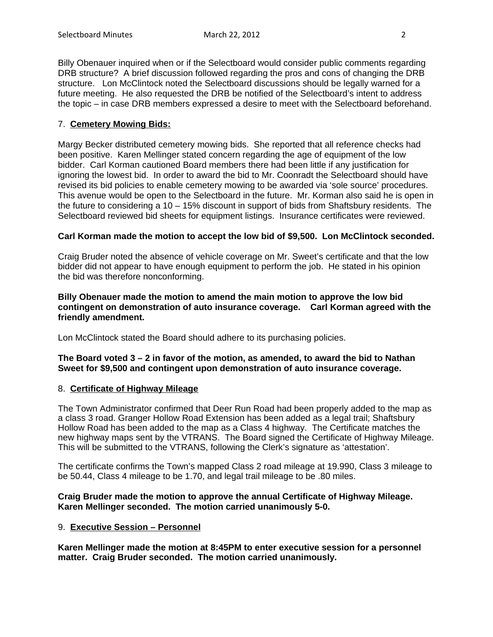Billy Obenauer inquired when or if the Selectboard would consider public comments regarding DRB structure? A brief discussion followed regarding the pros and cons of changing the DRB structure. Lon McClintock noted the Selectboard discussions should be legally warned for a future meeting. He also requested the DRB be notified of the Selectboard's intent to address the topic – in case DRB members expressed a desire to meet with the Selectboard beforehand.

# 7. **Cemetery Mowing Bids:**

Margy Becker distributed cemetery mowing bids. She reported that all reference checks had been positive. Karen Mellinger stated concern regarding the age of equipment of the low bidder. Carl Korman cautioned Board members there had been little if any justification for ignoring the lowest bid. In order to award the bid to Mr. Coonradt the Selectboard should have revised its bid policies to enable cemetery mowing to be awarded via 'sole source' procedures. This avenue would be open to the Selectboard in the future. Mr. Korman also said he is open in the future to considering a 10 – 15% discount in support of bids from Shaftsbury residents. The Selectboard reviewed bid sheets for equipment listings. Insurance certificates were reviewed.

## **Carl Korman made the motion to accept the low bid of \$9,500. Lon McClintock seconded.**

Craig Bruder noted the absence of vehicle coverage on Mr. Sweet's certificate and that the low bidder did not appear to have enough equipment to perform the job. He stated in his opinion the bid was therefore nonconforming.

**Billy Obenauer made the motion to amend the main motion to approve the low bid contingent on demonstration of auto insurance coverage. Carl Korman agreed with the friendly amendment.** 

Lon McClintock stated the Board should adhere to its purchasing policies.

#### **The Board voted 3 – 2 in favor of the motion, as amended, to award the bid to Nathan Sweet for \$9,500 and contingent upon demonstration of auto insurance coverage.**

## 8. **Certificate of Highway Mileage**

The Town Administrator confirmed that Deer Run Road had been properly added to the map as a class 3 road. Granger Hollow Road Extension has been added as a legal trail; Shaftsbury Hollow Road has been added to the map as a Class 4 highway. The Certificate matches the new highway maps sent by the VTRANS. The Board signed the Certificate of Highway Mileage. This will be submitted to the VTRANS, following the Clerk's signature as 'attestation'.

The certificate confirms the Town's mapped Class 2 road mileage at 19.990, Class 3 mileage to be 50.44, Class 4 mileage to be 1.70, and legal trail mileage to be .80 miles.

## **Craig Bruder made the motion to approve the annual Certificate of Highway Mileage. Karen Mellinger seconded. The motion carried unanimously 5-0.**

#### 9. **Executive Session – Personnel**

**Karen Mellinger made the motion at 8:45PM to enter executive session for a personnel matter. Craig Bruder seconded. The motion carried unanimously.**